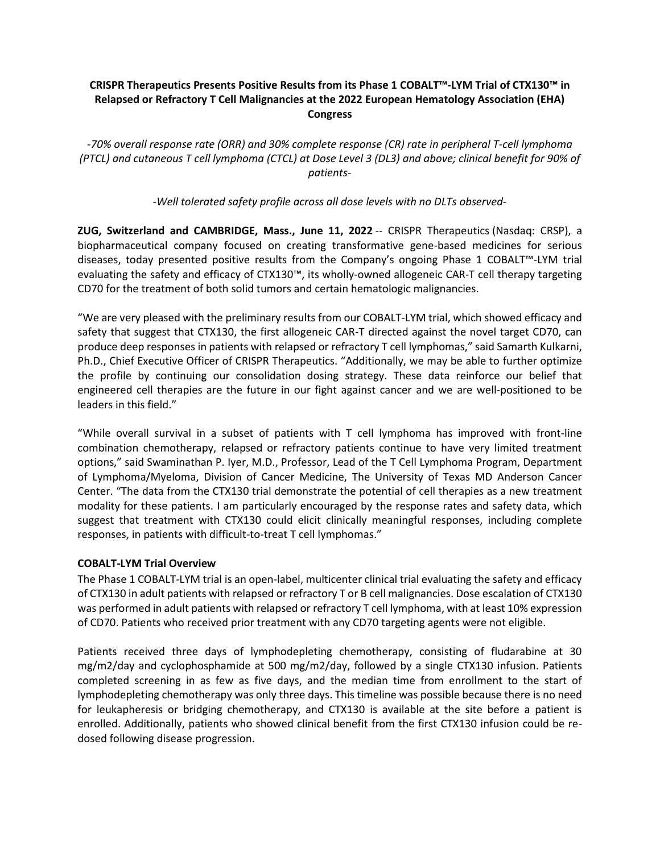## **CRISPR Therapeutics Presents Positive Results from its Phase 1 COBALT™-LYM Trial of CTX130™ in Relapsed or Refractory T Cell Malignancies at the 2022 European Hematology Association (EHA) Congress**

*-70% overall response rate (ORR) and 30% complete response (CR) rate in peripheral T-cell lymphoma (PTCL) and cutaneous T cell lymphoma (CTCL) at Dose Level 3 (DL3) and above; clinical benefit for 90% of patients-*

*-Well tolerated safety profile across all dose levels with no DLTs observed-*

**ZUG, Switzerland and CAMBRIDGE, Mass., June 11, 2022** -- CRISPR Therapeutics (Nasdaq: CRSP), a biopharmaceutical company focused on creating transformative gene-based medicines for serious diseases, today presented positive results from the Company's ongoing Phase 1 COBALT™-LYM trial evaluating the safety and efficacy of CTX130™, its wholly-owned allogeneic CAR-T cell therapy targeting CD70 for the treatment of both solid tumors and certain hematologic malignancies.

"We are very pleased with the preliminary results from our COBALT-LYM trial, which showed efficacy and safety that suggest that CTX130, the first allogeneic CAR-T directed against the novel target CD70, can produce deep responses in patients with relapsed or refractory T cell lymphomas," said Samarth Kulkarni, Ph.D., Chief Executive Officer of CRISPR Therapeutics. "Additionally, we may be able to further optimize the profile by continuing our consolidation dosing strategy. These data reinforce our belief that engineered cell therapies are the future in our fight against cancer and we are well-positioned to be leaders in this field."

"While overall survival in a subset of patients with T cell lymphoma has improved with front-line combination chemotherapy, relapsed or refractory patients continue to have very limited treatment options," said Swaminathan P. Iyer, M.D., Professor, Lead of the T Cell Lymphoma Program, Department of Lymphoma/Myeloma, Division of Cancer Medicine, The University of Texas MD Anderson Cancer Center. "The data from the CTX130 trial demonstrate the potential of cell therapies as a new treatment modality for these patients. I am particularly encouraged by the response rates and safety data, which suggest that treatment with CTX130 could elicit clinically meaningful responses, including complete responses, in patients with difficult-to-treat T cell lymphomas."

## **COBALT-LYM Trial Overview**

The Phase 1 COBALT-LYM trial is an open-label, multicenter clinical trial evaluating the safety and efficacy of CTX130 in adult patients with relapsed or refractory T or B cell malignancies. Dose escalation of CTX130 was performed in adult patients with relapsed or refractory T cell lymphoma, with at least 10% expression of CD70. Patients who received prior treatment with any CD70 targeting agents were not eligible.

Patients received three days of lymphodepleting chemotherapy, consisting of fludarabine at 30 mg/m2/day and cyclophosphamide at 500 mg/m2/day, followed by a single CTX130 infusion. Patients completed screening in as few as five days, and the median time from enrollment to the start of lymphodepleting chemotherapy was only three days. This timeline was possible because there is no need for leukapheresis or bridging chemotherapy, and CTX130 is available at the site before a patient is enrolled. Additionally, patients who showed clinical benefit from the first CTX130 infusion could be redosed following disease progression.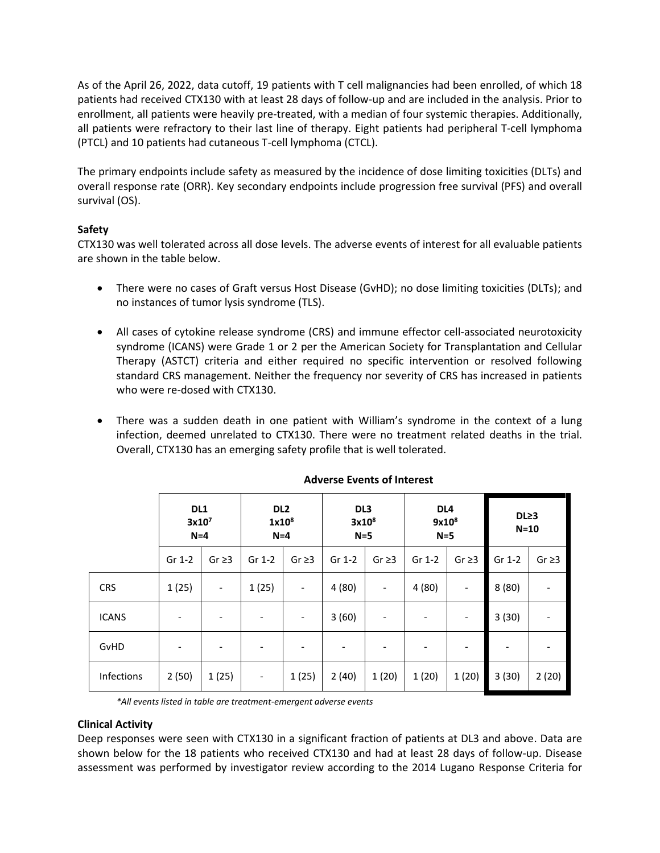As of the April 26, 2022, data cutoff, 19 patients with T cell malignancies had been enrolled, of which 18 patients had received CTX130 with at least 28 days of follow-up and are included in the analysis. Prior to enrollment, all patients were heavily pre-treated, with a median of four systemic therapies. Additionally, all patients were refractory to their last line of therapy. Eight patients had peripheral T-cell lymphoma (PTCL) and 10 patients had cutaneous T-cell lymphoma (CTCL).

The primary endpoints include safety as measured by the incidence of dose limiting toxicities (DLTs) and overall response rate (ORR). Key secondary endpoints include progression free survival (PFS) and overall survival (OS).

# **Safety**

CTX130 was well tolerated across all dose levels. The adverse events of interest for all evaluable patients are shown in the table below.

- There were no cases of Graft versus Host Disease (GvHD); no dose limiting toxicities (DLTs); and no instances of tumor lysis syndrome (TLS).
- All cases of cytokine release syndrome (CRS) and immune effector cell-associated neurotoxicity syndrome (ICANS) were Grade 1 or 2 per the American Society for Transplantation and Cellular Therapy (ASTCT) criteria and either required no specific intervention or resolved following standard CRS management. Neither the frequency nor severity of CRS has increased in patients who were re-dosed with CTX130.
- There was a sudden death in one patient with William's syndrome in the context of a lung infection, deemed unrelated to CTX130. There were no treatment related deaths in the trial. Overall, CTX130 has an emerging safety profile that is well tolerated.

|              | DL1<br>3x10 <sup>7</sup><br>$N=4$ |                          | DL <sub>2</sub><br>1x10 <sup>8</sup><br>$N=4$ |                          | DL <sub>3</sub><br>3x10 <sup>8</sup><br>$N=5$ |                          | DL <sub>4</sub><br>9x10 <sup>8</sup><br>$N=5$ |                          | DL <sub>23</sub><br>$N=10$ |                              |
|--------------|-----------------------------------|--------------------------|-----------------------------------------------|--------------------------|-----------------------------------------------|--------------------------|-----------------------------------------------|--------------------------|----------------------------|------------------------------|
|              | Gr 1-2                            | Gr $\geq$ 3              | Gr 1-2                                        | Gr $\geq$ 3              | Gr 1-2                                        | $Gr \geq 3$              | Gr 1-2                                        | $Gr \geq 3$              | Gr 1-2                     | Gr $\geq$ 3                  |
| <b>CRS</b>   | 1(25)                             | $\overline{\phantom{a}}$ | 1(25)                                         | $\overline{\phantom{a}}$ | 4(80)                                         | $\overline{\phantom{a}}$ | 4(80)                                         | $\overline{\phantom{a}}$ | 8(80)                      | $\qquad \qquad \blacksquare$ |
| <b>ICANS</b> |                                   | -                        |                                               | -                        | 3(60)                                         | -                        |                                               | $\overline{\phantom{a}}$ | 3(30)                      | -                            |
| GvHD         |                                   | -                        |                                               |                          | -                                             |                          |                                               |                          |                            |                              |
| Infections   | 2(50)                             | 1(25)                    | $\overline{\phantom{a}}$                      | 1(25)                    | 2(40)                                         | 1(20)                    | 1(20)                                         | 1(20)                    | 3(30)                      | 2(20)                        |

## **Adverse Events of Interest**

*\*All events listed in table are treatment-emergent adverse events*

#### **Clinical Activity**

Deep responses were seen with CTX130 in a significant fraction of patients at DL3 and above. Data are shown below for the 18 patients who received CTX130 and had at least 28 days of follow-up. Disease assessment was performed by investigator review according to the 2014 Lugano Response Criteria for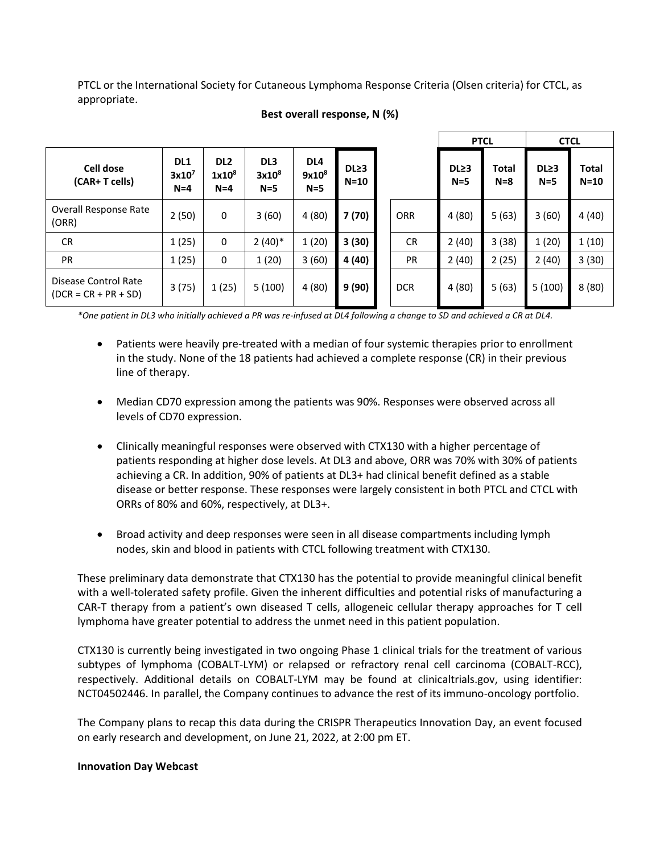PTCL or the International Society for Cutaneous Lymphoma Response Criteria (Olsen criteria) for CTCL, as appropriate.

|                                                | <b>PTCL</b>                       |                                      | <b>CTCL</b>                                   |                                               |                            |            |                             |                         |                           |                 |
|------------------------------------------------|-----------------------------------|--------------------------------------|-----------------------------------------------|-----------------------------------------------|----------------------------|------------|-----------------------------|-------------------------|---------------------------|-----------------|
| Cell dose<br>(CAR+ T cells)                    | DL1<br>3x10 <sup>7</sup><br>$N=4$ | DL <sub>2</sub><br>$1x10^8$<br>$N=4$ | DL <sub>3</sub><br>3x10 <sup>8</sup><br>$N=5$ | DL <sub>4</sub><br>9x10 <sup>8</sup><br>$N=5$ | DL <sub>23</sub><br>$N=10$ |            | DL <sub>23</sub><br>$N = 5$ | <b>Total</b><br>$N = 8$ | DL <sub>23</sub><br>$N=5$ | Total<br>$N=10$ |
| Overall Response Rate<br>(ORR)                 | 2(50)                             | 0                                    | 3(60)                                         | 4(80)                                         | 7 (70)                     | <b>ORR</b> | 4(80)                       | 5(63)                   | 3(60)                     | 4(40)           |
| <b>CR</b>                                      | 1(25)                             | 0                                    | $2(40)*$                                      | 1(20)                                         | 3(30)                      | <b>CR</b>  | 2(40)                       | 3(38)                   | 1(20)                     | 1(10)           |
| <b>PR</b>                                      | 1(25)                             | 0                                    | 1(20)                                         | 3(60)                                         | 4 (40)                     | <b>PR</b>  | 2(40)                       | 2(25)                   | 2(40)                     | 3(30)           |
| Disease Control Rate<br>$(DCR = CR + PR + SD)$ | 3(75)                             | 1(25)                                | 5(100)                                        | 4(80)                                         | 9(90)                      | <b>DCR</b> | 4(80)                       | 5(63)                   | 5(100)                    | 8(80)           |

## **Best overall response, N (%)**

*\*One patient in DL3 who initially achieved a PR was re-infused at DL4 following a change to SD and achieved a CR at DL4.*

- Patients were heavily pre-treated with a median of four systemic therapies prior to enrollment in the study. None of the 18 patients had achieved a complete response (CR) in their previous line of therapy.
- Median CD70 expression among the patients was 90%. Responses were observed across all levels of CD70 expression.
- Clinically meaningful responses were observed with CTX130 with a higher percentage of patients responding at higher dose levels. At DL3 and above, ORR was 70% with 30% of patients achieving a CR. In addition, 90% of patients at DL3+ had clinical benefit defined as a stable disease or better response. These responses were largely consistent in both PTCL and CTCL with ORRs of 80% and 60%, respectively, at DL3+.
- Broad activity and deep responses were seen in all disease compartments including lymph nodes, skin and blood in patients with CTCL following treatment with CTX130.

These preliminary data demonstrate that CTX130 has the potential to provide meaningful clinical benefit with a well-tolerated safety profile. Given the inherent difficulties and potential risks of manufacturing a CAR-T therapy from a patient's own diseased T cells, allogeneic cellular therapy approaches for T cell lymphoma have greater potential to address the unmet need in this patient population.

CTX130 is currently being investigated in two ongoing Phase 1 clinical trials for the treatment of various subtypes of lymphoma (COBALT-LYM) or relapsed or refractory renal cell carcinoma (COBALT-RCC), respectively. Additional details on COBALT-LYM may be found at clinicaltrials.gov, using identifier: NCT04502446. In parallel, the Company continues to advance the rest of its immuno-oncology portfolio.

The Company plans to recap this data during the CRISPR Therapeutics Innovation Day, an event focused on early research and development, on June 21, 2022, at 2:00 pm ET.

#### **Innovation Day Webcast**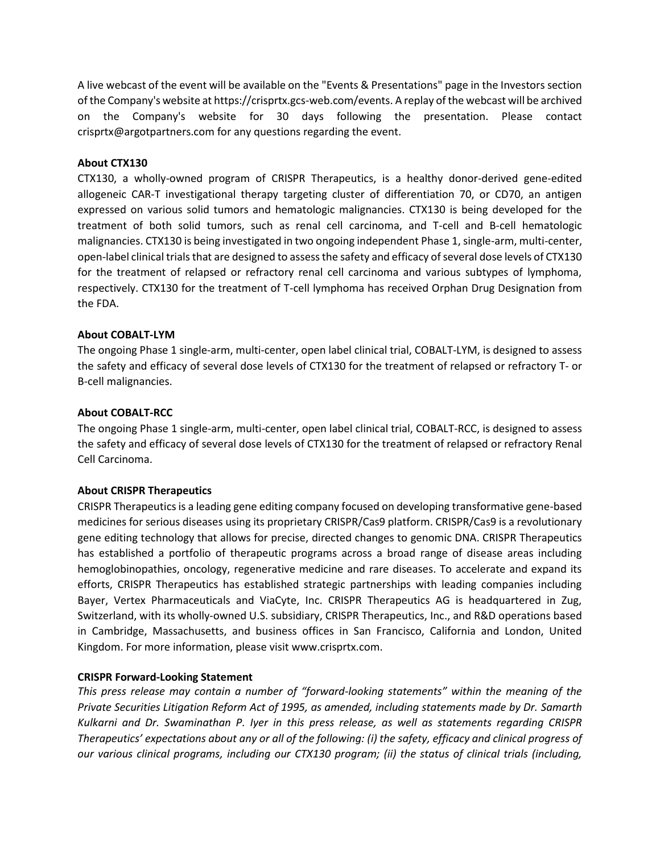A live webcast of the event will be available on the "Events & Presentations" page in the Investors section of the Company's website at https://crisprtx.gcs-web.com/events. A replay of the webcast will be archived on the Company's website for 30 days following the presentation. Please contact crisprtx@argotpartners.com for any questions regarding the event.

### **About CTX130**

CTX130, a wholly-owned program of CRISPR Therapeutics, is a healthy donor-derived gene-edited allogeneic CAR-T investigational therapy targeting cluster of differentiation 70, or CD70, an antigen expressed on various solid tumors and hematologic malignancies. CTX130 is being developed for the treatment of both solid tumors, such as renal cell carcinoma, and T-cell and B-cell hematologic malignancies. CTX130 is being investigated in two ongoing independent Phase 1, single-arm, multi-center, open-label clinical trials that are designed to assess the safety and efficacy of several dose levels of CTX130 for the treatment of relapsed or refractory renal cell carcinoma and various subtypes of lymphoma, respectively. CTX130 for the treatment of T-cell lymphoma has received Orphan Drug Designation from the FDA.

## **About COBALT-LYM**

The ongoing Phase 1 single-arm, multi-center, open label clinical trial, COBALT-LYM, is designed to assess the safety and efficacy of several dose levels of CTX130 for the treatment of relapsed or refractory T- or B-cell malignancies.

### **About COBALT-RCC**

The ongoing Phase 1 single-arm, multi-center, open label clinical trial, COBALT-RCC, is designed to assess the safety and efficacy of several dose levels of CTX130 for the treatment of relapsed or refractory Renal Cell Carcinoma.

## **About CRISPR Therapeutics**

CRISPR Therapeutics is a leading gene editing company focused on developing transformative gene-based medicines for serious diseases using its proprietary CRISPR/Cas9 platform. CRISPR/Cas9 is a revolutionary gene editing technology that allows for precise, directed changes to genomic DNA. CRISPR Therapeutics has established a portfolio of therapeutic programs across a broad range of disease areas including hemoglobinopathies, oncology, regenerative medicine and rare diseases. To accelerate and expand its efforts, CRISPR Therapeutics has established strategic partnerships with leading companies including Bayer, Vertex Pharmaceuticals and ViaCyte, Inc. CRISPR Therapeutics AG is headquartered in Zug, Switzerland, with its wholly-owned U.S. subsidiary, CRISPR Therapeutics, Inc., and R&D operations based in Cambridge, Massachusetts, and business offices in San Francisco, California and London, United Kingdom. For more information, please visi[t www.crisprtx.com.](http://www.crisprtx.com/)

#### **CRISPR Forward-Looking Statement**

*This press release may contain a number of "forward-looking statements" within the meaning of the Private Securities Litigation Reform Act of 1995, as amended, including statements made by Dr. Samarth Kulkarni and Dr. Swaminathan P. Iyer in this press release, as well as statements regarding CRISPR Therapeutics' expectations about any or all of the following: (i) the safety, efficacy and clinical progress of our various clinical programs, including our CTX130 program; (ii) the status of clinical trials (including,*